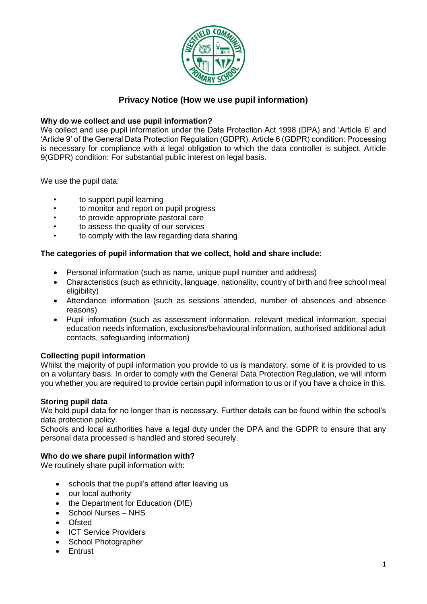

# **Privacy Notice (How we use pupil information)**

# **Why do we collect and use pupil information?**

We collect and use pupil information under the Data Protection Act 1998 (DPA) and 'Article 6' and 'Article 9' of the General Data Protection Regulation (GDPR). Article 6 (GDPR) condition: Processing is necessary for compliance with a legal obligation to which the data controller is subject. Article 9(GDPR) condition: For substantial public interest on legal basis.

We use the pupil data:

- to support pupil learning
- to monitor and report on pupil progress
- to provide appropriate pastoral care
- to assess the quality of our services
- to comply with the law regarding data sharing

# **The categories of pupil information that we collect, hold and share include:**

- Personal information (such as name, unique pupil number and address)
- Characteristics (such as ethnicity, language, nationality, country of birth and free school meal eligibility)
- Attendance information (such as sessions attended, number of absences and absence reasons)
- Pupil information (such as assessment information, relevant medical information, special education needs information, exclusions/behavioural information, authorised additional adult contacts, safeguarding information)

# **Collecting pupil information**

Whilst the majority of pupil information you provide to us is mandatory, some of it is provided to us on a voluntary basis. In order to comply with the General Data Protection Regulation, we will inform you whether you are required to provide certain pupil information to us or if you have a choice in this.

# **Storing pupil data**

We hold pupil data for no longer than is necessary. Further details can be found within the school's data protection policy.

Schools and local authorities have a legal duty under the DPA and the GDPR to ensure that any personal data processed is handled and stored securely.

# **Who do we share pupil information with?**

We routinely share pupil information with:

- schools that the pupil's attend after leaving us
- our local authority
- the Department for Education (DfE)
- School Nurses NHS
- **Ofsted**
- ICT Service Providers
- School Photographer
- **Entrust**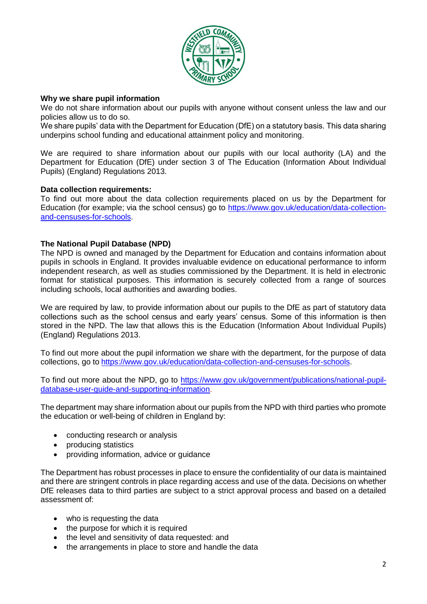

#### **Why we share pupil information**

We do not share information about our pupils with anyone without consent unless the law and our policies allow us to do so.

We share pupils' data with the Department for Education (DfE) on a statutory basis. This data sharing underpins school funding and educational attainment policy and monitoring.

We are required to share information about our pupils with our local authority (LA) and the Department for Education (DfE) under section 3 of The Education (Information About Individual Pupils) (England) Regulations 2013.

#### **Data collection requirements:**

To find out more about the data collection requirements placed on us by the Department for Education (for example; via the school census) go to [https://www.gov.uk/education/data-collection](https://www.gov.uk/education/data-collection-and-censuses-for-schools)[and-censuses-for-schools.](https://www.gov.uk/education/data-collection-and-censuses-for-schools)

# **The National Pupil Database (NPD)**

The NPD is owned and managed by the Department for Education and contains information about pupils in schools in England. It provides invaluable evidence on educational performance to inform independent research, as well as studies commissioned by the Department. It is held in electronic format for statistical purposes. This information is securely collected from a range of sources including schools, local authorities and awarding bodies.

We are required by law, to provide information about our pupils to the DfE as part of statutory data collections such as the school census and early years' census. Some of this information is then stored in the NPD. The law that allows this is the Education (Information About Individual Pupils) (England) Regulations 2013.

To find out more about the pupil information we share with the department, for the purpose of data collections, go to [https://www.gov.uk/education/data-collection-and-censuses-for-schools.](https://www.gov.uk/education/data-collection-and-censuses-for-schools)

To find out more about the NPD, go to [https://www.gov.uk/government/publications/national-pupil](https://www.gov.uk/government/publications/national-pupil-database-user-guide-and-supporting-information)[database-user-guide-and-supporting-information.](https://www.gov.uk/government/publications/national-pupil-database-user-guide-and-supporting-information)

The department may share information about our pupils from the NPD with third parties who promote the education or well-being of children in England by:

- conducting research or analysis
- producing statistics
- providing information, advice or guidance

The Department has robust processes in place to ensure the confidentiality of our data is maintained and there are stringent controls in place regarding access and use of the data. Decisions on whether DfE releases data to third parties are subject to a strict approval process and based on a detailed assessment of:

- who is requesting the data
- the purpose for which it is required
- the level and sensitivity of data requested: and
- the arrangements in place to store and handle the data